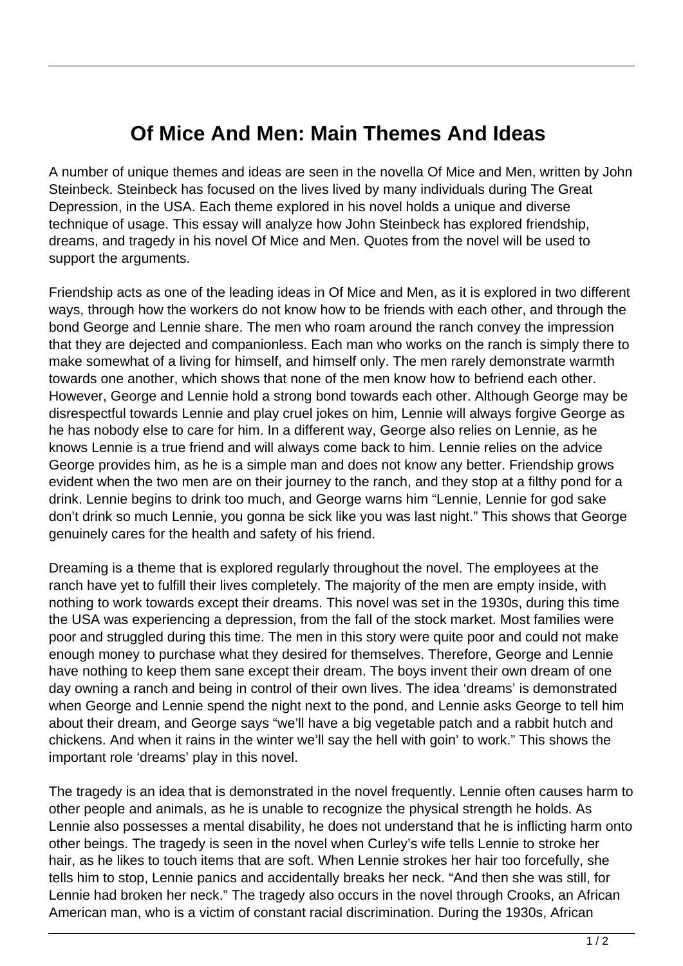## **Of Mice And Men: Main Themes And Ideas**

A number of unique themes and ideas are seen in the novella Of Mice and Men, written by John Steinbeck. Steinbeck has focused on the lives lived by many individuals during The Great Depression, in the USA. Each theme explored in his novel holds a unique and diverse technique of usage. This essay will analyze how John Steinbeck has explored friendship, dreams, and tragedy in his novel Of Mice and Men. Quotes from the novel will be used to support the arguments.

Friendship acts as one of the leading ideas in Of Mice and Men, as it is explored in two different ways, through how the workers do not know how to be friends with each other, and through the bond George and Lennie share. The men who roam around the ranch convey the impression that they are dejected and companionless. Each man who works on the ranch is simply there to make somewhat of a living for himself, and himself only. The men rarely demonstrate warmth towards one another, which shows that none of the men know how to befriend each other. However, George and Lennie hold a strong bond towards each other. Although George may be disrespectful towards Lennie and play cruel jokes on him, Lennie will always forgive George as he has nobody else to care for him. In a different way, George also relies on Lennie, as he knows Lennie is a true friend and will always come back to him. Lennie relies on the advice George provides him, as he is a simple man and does not know any better. Friendship grows evident when the two men are on their journey to the ranch, and they stop at a filthy pond for a drink. Lennie begins to drink too much, and George warns him "Lennie, Lennie for god sake don't drink so much Lennie, you gonna be sick like you was last night." This shows that George genuinely cares for the health and safety of his friend.

Dreaming is a theme that is explored regularly throughout the novel. The employees at the ranch have yet to fulfill their lives completely. The majority of the men are empty inside, with nothing to work towards except their dreams. This novel was set in the 1930s, during this time the USA was experiencing a depression, from the fall of the stock market. Most families were poor and struggled during this time. The men in this story were quite poor and could not make enough money to purchase what they desired for themselves. Therefore, George and Lennie have nothing to keep them sane except their dream. The boys invent their own dream of one day owning a ranch and being in control of their own lives. The idea 'dreams' is demonstrated when George and Lennie spend the night next to the pond, and Lennie asks George to tell him about their dream, and George says "we'll have a big vegetable patch and a rabbit hutch and chickens. And when it rains in the winter we'll say the hell with goin' to work." This shows the important role 'dreams' play in this novel.

The tragedy is an idea that is demonstrated in the novel frequently. Lennie often causes harm to other people and animals, as he is unable to recognize the physical strength he holds. As Lennie also possesses a mental disability, he does not understand that he is inflicting harm onto other beings. The tragedy is seen in the novel when Curley's wife tells Lennie to stroke her hair, as he likes to touch items that are soft. When Lennie strokes her hair too forcefully, she tells him to stop, Lennie panics and accidentally breaks her neck. "And then she was still, for Lennie had broken her neck." The tragedy also occurs in the novel through Crooks, an African American man, who is a victim of constant racial discrimination. During the 1930s, African